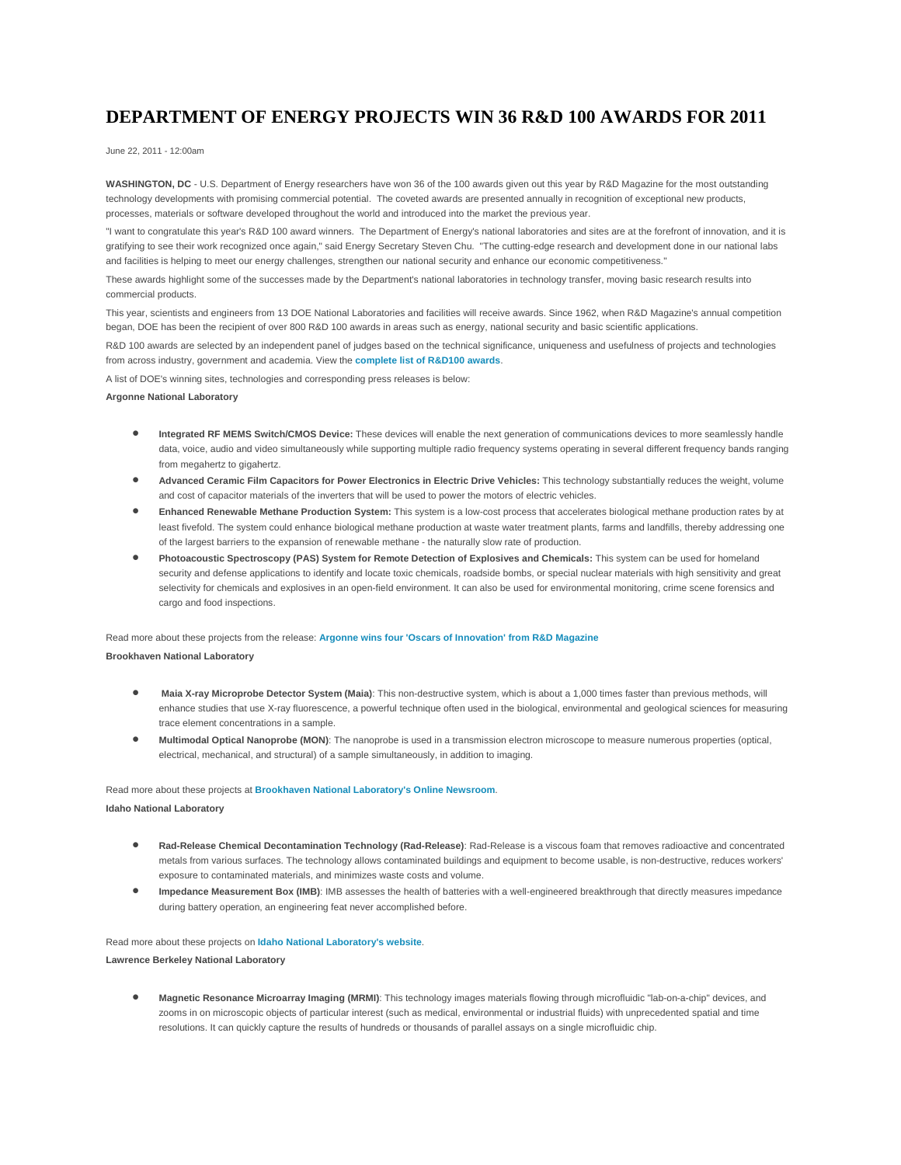# **DEPARTMENT OF ENERGY PROJECTS WIN 36 R&D 100 AWARDS FOR 2011**

June 22, 2011 - 12:00am

**WASHINGTON, DC** - U.S. Department of Energy researchers have won 36 of the 100 awards given out this year by R&D Magazine for the most outstanding technology developments with promising commercial potential. The coveted awards are presented annually in recognition of exceptional new products, processes, materials or software developed throughout the world and introduced into the market the previous year.

"I want to congratulate this year's R&D 100 award winners. The Department of Energy's national laboratories and sites are at the forefront of innovation, and it is gratifying to see their work recognized once again," said Energy Secretary Steven Chu. "The cutting-edge research and development done in our national labs and facilities is helping to meet our energy challenges, strengthen our national security and enhance our economic competitiveness."

These awards highlight some of the successes made by the Department's national laboratories in technology transfer, moving basic research results into commercial products.

This year, scientists and engineers from 13 DOE National Laboratories and facilities will receive awards. Since 1962, when R&D Magazine's annual competition began, DOE has been the recipient of over 800 R&D 100 awards in areas such as energy, national security and basic scientific applications.

R&D 100 awards are selected by an independent panel of judges based on the technical significance, uniqueness and usefulness of projects and technologies from across industry, government and academia. View the **[complete list of R&D100 awards](http://energy.gov/exit?url=http%3A//www.rdmag.com/)**.

A list of DOE's winning sites, technologies and corresponding press releases is below:

# **Argonne National Laboratory**

- **Integrated RF MEMS Switch/CMOS Device:** These devices will enable the next generation of communications devices to more seamlessly handle data, voice, audio and video simultaneously while supporting multiple radio frequency systems operating in several different frequency bands ranging from megahertz to gigahertz.
- **Advanced Ceramic Film Capacitors for Power Electronics in Electric Drive Vehicles:** This technology substantially reduces the weight, volume and cost of capacitor materials of the inverters that will be used to power the motors of electric vehicles.
- **Enhanced Renewable Methane Production System:** This system is a low-cost process that accelerates biological methane production rates by at least fivefold. The system could enhance biological methane production at waste water treatment plants, farms and landfills, thereby addressing one of the largest barriers to the expansion of renewable methane - the naturally slow rate of production.
- **Photoacoustic Spectroscopy (PAS) System for Remote Detection of Explosives and Chemicals:** This system can be used for homeland security and defense applications to identify and locate toxic chemicals, roadside bombs, or special nuclear materials with high sensitivity and great selectivity for chemicals and explosives in an open-field environment. It can also be used for environmental monitoring, crime scene forensics and cargo and food inspections.

Read more about these projects from the release: **[Argonne wins four 'Oscars of Innovation' from R&D Magazine](http://www.anl.gov/articles/argonne-wins-four-oscars-innovation-rd-magazine) Brookhaven National Laboratory**

- **Maia X-ray Microprobe Detector System (Maia)**: This non-destructive system, which is about a 1,000 times faster than previous methods, will enhance studies that use X-ray fluorescence, a powerful technique often used in the biological, environmental and geological sciences for measuring trace element concentrations in a sample.
- **Multimodal Optical Nanoprobe (MON)**: The nanoprobe is used in a transmission electron microscope to measure numerous properties (optical, electrical, mechanical, and structural) of a sample simultaneously, in addition to imaging.

## Read more about these projects at **Brookhaven National [Laboratory's Online Newsroom](http://www.bnl.gov/bnlweb/pubaf/pr/newsroom.asp)**.

**Idaho National Laboratory**

- **Rad-Release Chemical Decontamination Technology (Rad-Release)**: Rad-Release is a viscous foam that removes radioactive and concentrated metals from various surfaces. The technology allows contaminated buildings and equipment to become usable, is non-destructive, reduces workers' exposure to contaminated materials, and minimizes waste costs and volume.
- **Impedance Measurement Box (IMB)**: IMB assesses the health of batteries with a well-engineered breakthrough that directly measures impedance during battery operation, an engineering feat never accomplished before.

Read more about these projects on **[Idaho National Laboratory's website](http://www.inl.gov/)**.

**Lawrence Berkeley National Laboratory**

• **Magnetic Resonance Microarray Imaging (MRMI)**: This technology images materials flowing through microfluidic "lab-on-a-chip" devices, and zooms in on microscopic objects of particular interest (such as medical, environmental or industrial fluids) with unprecedented spatial and time resolutions. It can quickly capture the results of hundreds or thousands of parallel assays on a single microfluidic chip.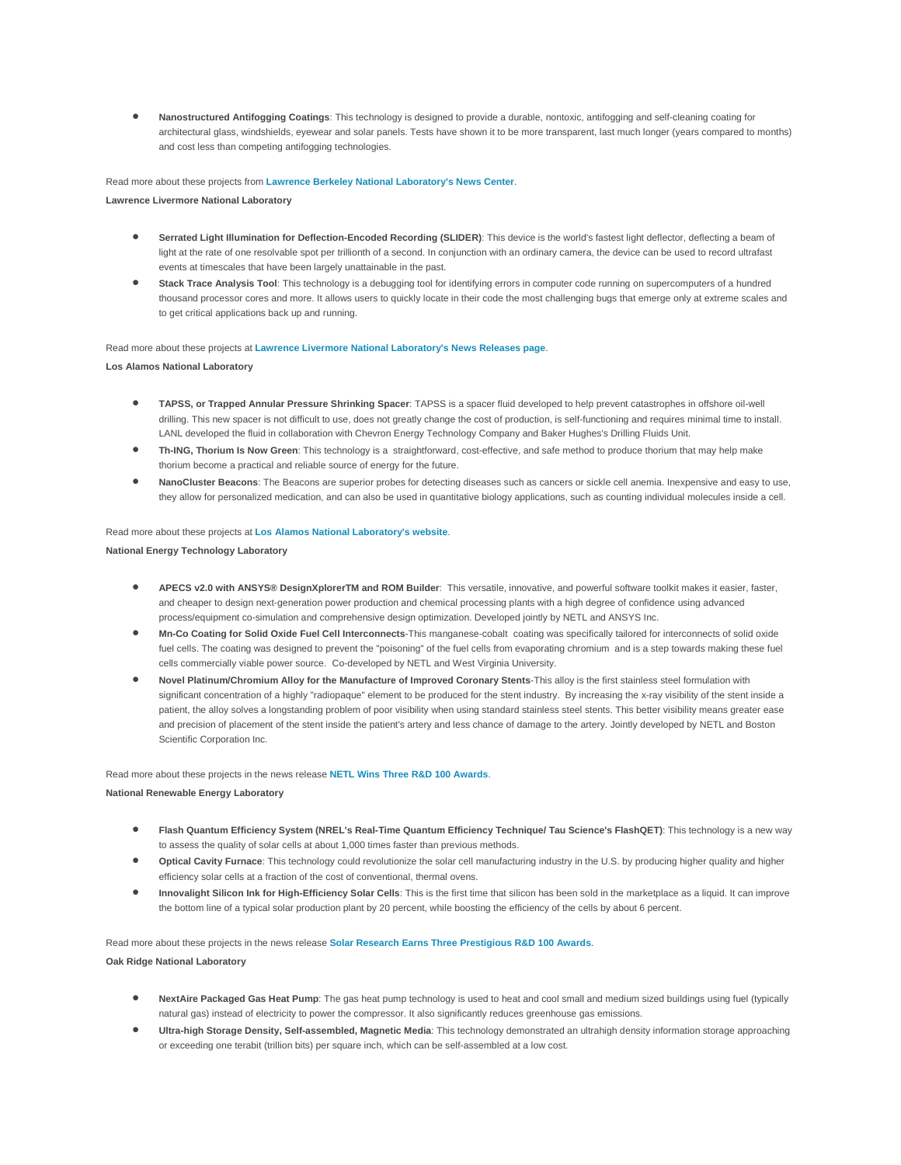• **Nanostructured Antifogging Coatings**: This technology is designed to provide a durable, nontoxic, antifogging and self-cleaning coating for architectural glass, windshields, eyewear and solar panels. Tests have shown it to be more transparent, last much longer (years compared to months) and cost less than competing antifogging technologies.

Read more about these projects from **[Lawrence Berkeley National Laboratory's News Center](http://newscenter.lbl.gov/)**.

**Lawrence Livermore National Laboratory** 

- **Serrated Light Illumination for Deflection-Encoded Recording (SLIDER)**: This device is the world's fastest light deflector, deflecting a beam of light at the rate of one resolvable spot per trillionth of a second. In conjunction with an ordinary camera, the device can be used to record ultrafast events at timescales that have been largely unattainable in the past.
- **Stack Trace Analysis Tool**: This technology is a debugging tool for identifying errors in computer code running on supercomputers of a hundred thousand processor cores and more. It allows users to quickly locate in their code the most challenging bugs that emerge only at extreme scales and to get critical applications back up and running.

Read more about these projects at **[Lawrence Livermore National Laboratory's News Releases page](https://www.llnl.gov/news/newsreleases/)**.

**Los Alamos National Laboratory**

- **TAPSS, or Trapped Annular Pressure Shrinking Spacer**: TAPSS is a spacer fluid developed to help prevent catastrophes in offshore oil-well drilling. This new spacer is not difficult to use, does not greatly change the cost of production, is self-functioning and requires minimal time to install. LANL developed the fluid in collaboration with Chevron Energy Technology Company and Baker Hughes's Drilling Fluids Unit.
- **Th-ING, Thorium Is Now Green**: This technology is a straightforward, cost-effective, and safe method to produce thorium that may help make thorium become a practical and reliable source of energy for the future.
- **NanoCluster Beacons**: The Beacons are superior probes for detecting diseases such as cancers or sickle cell anemia. Inexpensive and easy to use, they allow for personalized medication, and can also be used in quantitative biology applications, such as counting individual molecules inside a cell.

Read more about these projects at **[Los Alamos National Laboratory's website](http://www.lanl.gov/)**. **National Energy Technology Laboratory**

- **APECS v2.0 with ANSYS® DesignXplorerTM and ROM Builder**: This versatile, innovative, and powerful software toolkit makes it easier, faster, and cheaper to design next-generation power production and chemical processing plants with a high degree of confidence using advanced process/equipment co-simulation and comprehensive design optimization. Developed jointly by NETL and ANSYS Inc.
- **Mn-Co Coating for Solid Oxide Fuel Cell Interconnects**-This manganese-cobalt coating was specifically tailored for interconnects of solid oxide fuel cells. The coating was designed to prevent the "poisoning" of the fuel cells from evaporating chromium and is a step towards making these fuel cells commercially viable power source. Co-developed by NETL and West Virginia University.
- **Novel Platinum/Chromium Alloy for the Manufacture of Improved Coronary Stents**-This alloy is the first stainless steel formulation with significant concentration of a highly "radiopaque" element to be produced for the stent industry. By increasing the x-ray visibility of the stent inside a patient, the alloy solves a longstanding problem of poor visibility when using standard stainless steel stents. This better visibility means greater ease and precision of placement of the stent inside the patient's artery and less chance of damage to the artery. Jointly developed by NETL and Boston Scientific Corporation Inc.

Read more about these projects in the news release **[NETL Wins Three R&D 100 Awards](http://www.netl.doe.gov/publications/press/2011/110622-NETL_Earns_2011_R&D_100_Awards.html)**.

**National Renewable Energy Laboratory**

- **Flash Quantum Efficiency System (NREL's Real-Time Quantum Efficiency Technique/ Tau Science's FlashQET)**: This technology is a new way to assess the quality of solar cells at about 1,000 times faster than previous methods.
- **Optical Cavity Furnace**: This technology could revolutionize the solar cell manufacturing industry in the U.S. by producing higher quality and higher efficiency solar cells at a fraction of the cost of conventional, thermal ovens.
- **Innovalight Silicon Ink for High-Efficiency Solar Cells**: This is the first time that silicon has been sold in the marketplace as a liquid. It can improve the bottom line of a typical solar production plant by 20 percent, while boosting the efficiency of the cells by about 6 percent.

Read more about these projects in the news release **[Solar Research Earns Three Prestigious R&D 100 Awards](http://www.nrel.gov/news/press/2011/1460.html)**.

**Oak Ridge National Laboratory**

- NextAire Packaged Gas Heat Pump: The gas heat pump technology is used to heat and cool small and medium sized buildings using fuel (typically natural gas) instead of electricity to power the compressor. It also significantly reduces greenhouse gas emissions.
- **Ultra-high Storage Density, Self-assembled, Magnetic Media**: This technology demonstrated an ultrahigh density information storage approaching or exceeding one terabit (trillion bits) per square inch, which can be self-assembled at a low cost.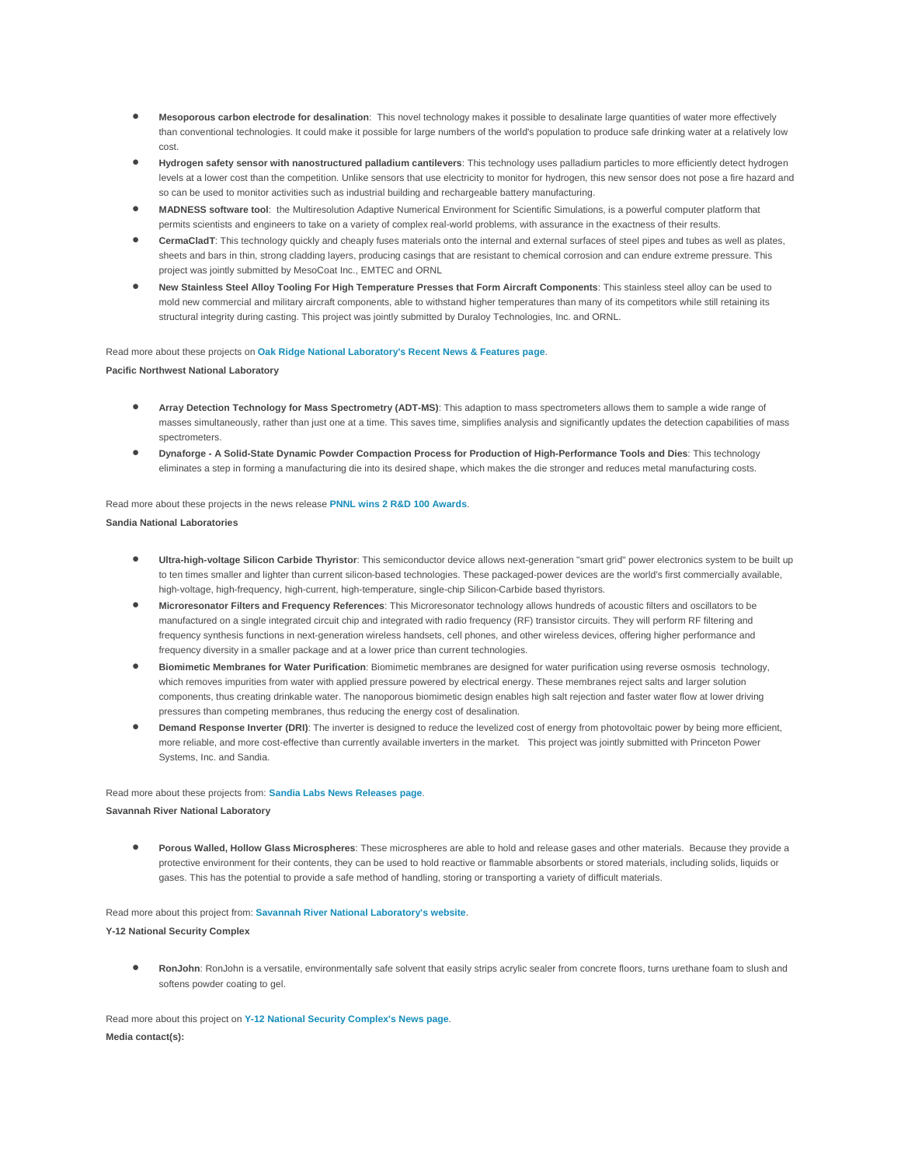- **Mesoporous carbon electrode for desalination**: This novel technology makes it possible to desalinate large quantities of water more effectively than conventional technologies. It could make it possible for large numbers of the world's population to produce safe drinking water at a relatively low cost.
- **Hydrogen safety sensor with nanostructured palladium cantilevers**: This technology uses palladium particles to more efficiently detect hydrogen levels at a lower cost than the competition. Unlike sensors that use electricity to monitor for hydrogen, this new sensor does not pose a fire hazard and so can be used to monitor activities such as industrial building and rechargeable battery manufacturing.
- **MADNESS software tool**: the Multiresolution Adaptive Numerical Environment for Scientific Simulations, is a powerful computer platform that permits scientists and engineers to take on a variety of complex real-world problems, with assurance in the exactness of their results.
- **CermaCladT**: This technology quickly and cheaply fuses materials onto the internal and external surfaces of steel pipes and tubes as well as plates, sheets and bars in thin, strong cladding layers, producing casings that are resistant to chemical corrosion and can endure extreme pressure. This project was jointly submitted by MesoCoat Inc., EMTEC and ORNL
- **New Stainless Steel Alloy Tooling For High Temperature Presses that Form Aircraft Components**: This stainless steel alloy can be used to mold new commercial and military aircraft components, able to withstand higher temperatures than many of its competitors while still retaining its structural integrity during casting. This project was jointly submitted by Duraloy Technologies, Inc. and ORNL.

### Read more about these projects on **[Oak Ridge National Laboratory's Recent News & Features page](http://www.ornl.gov/info/press_releases/newsroom.cfm)**.

# **Pacific Northwest National Laboratory**

- **Array Detection Technology for Mass Spectrometry (ADT-MS)**: This adaption to mass spectrometers allows them to sample a wide range of masses simultaneously, rather than just one at a time. This saves time, simplifies analysis and significantly updates the detection capabilities of mass spectrometers.
- **Dynaforge - A Solid-State Dynamic Powder Compaction Process for Production of High-Performance Tools and Dies**: This technology eliminates a step in forming a manufacturing die into its desired shape, which makes the die stronger and reduces metal manufacturing costs.

#### Read more about these projects in the news release **[PNNL wins 2 R&D 100 Awards](http://www.pnl.gov/news/release.aspx?id=871)**.

#### **Sandia National Laboratories**

- **Ultra-high-voltage Silicon Carbide Thyristor**: This semiconductor device allows next-generation "smart grid" power electronics system to be built up to ten times smaller and lighter than current silicon-based technologies. These packaged-power devices are the world's first commercially available, high-voltage, high-frequency, high-current, high-temperature, single-chip Silicon-Carbide based thyristors.
- **Microresonator Filters and Frequency References**: This Microresonator technology allows hundreds of acoustic filters and oscillators to be manufactured on a single integrated circuit chip and integrated with radio frequency (RF) transistor circuits. They will perform RF filtering and frequency synthesis functions in next-generation wireless handsets, cell phones, and other wireless devices, offering higher performance and frequency diversity in a smaller package and at a lower price than current technologies.
- **Biomimetic Membranes for Water Purification**: Biomimetic membranes are designed for water purification using reverse osmosis technology, which removes impurities from water with applied pressure powered by electrical energy. These membranes reject salts and larger solution components, thus creating drinkable water. The nanoporous biomimetic design enables high salt rejection and faster water flow at lower driving pressures than competing membranes, thus reducing the energy cost of desalination.
- **Demand Response Inverter (DRI)**: The inverter is designed to reduce the levelized cost of energy from photovoltaic power by being more efficient, more reliable, and more cost-effective than currently available inverters in the market. This project was jointly submitted with Princeton Power Systems, Inc. and Sandia.

# Read more about these projects from: **[Sandia Labs News Releases page](https://share.sandia.gov/news/resources/news_releases/)**. **Savannah River National Laboratory**

• **Porous Walled, Hollow Glass Microspheres**: These microspheres are able to hold and release gases and other materials. Because they provide a protective environment for their contents, they can be used to hold reactive or flammable absorbents or stored materials, including solids, liquids or gases. This has the potential to provide a safe method of handling, storing or transporting a variety of difficult materials.

Read more about this project from: **[Savannah River National Laboratory's website](http://srnl.doe.gov/)**. **Y-12 National Security Complex** 

• **RonJohn**: RonJohn is a versatile, environmentally safe solvent that easily strips acrylic sealer from concrete floors, turns urethane foam to slush and softens powder coating to gel.

Read more about this project on **[Y-12 National Security Complex's News page](http://www.y12.doe.gov/news/)**. **Media contact(s):**